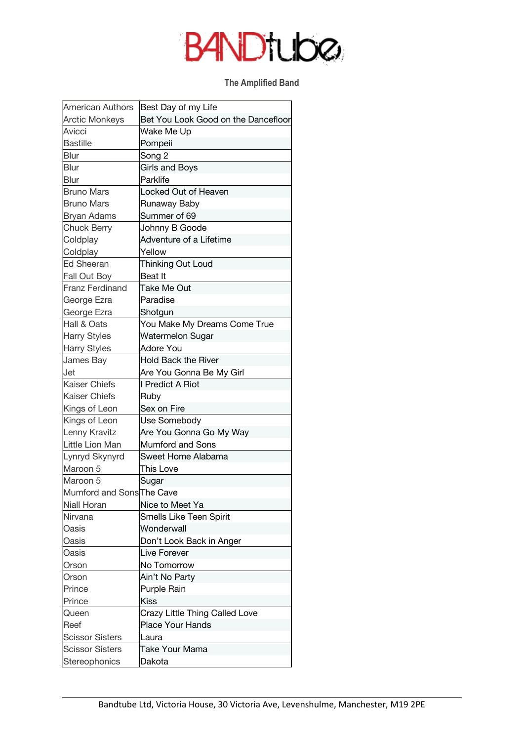## **BANDTUDO**

## **The Amplified Band**

| <b>American Authors</b>   | Best Day of my Life                 |
|---------------------------|-------------------------------------|
| <b>Arctic Monkeys</b>     | Bet You Look Good on the Dancefloor |
| Avicci                    | Wake Me Up                          |
| <b>Bastille</b>           | Pompeii                             |
| Blur                      | Song 2                              |
| Blur                      | Girls and Boys                      |
| <b>Blur</b>               | Parklife                            |
| <b>Bruno Mars</b>         | Locked Out of Heaven                |
| <b>Bruno Mars</b>         | Runaway Baby                        |
| Bryan Adams               | Summer of 69                        |
| <b>Chuck Berry</b>        | Johnny B Goode                      |
| Coldplay                  | Adventure of a Lifetime             |
| Coldplay                  | Yellow                              |
| <b>Ed Sheeran</b>         | Thinking Out Loud                   |
| <b>Fall Out Boy</b>       | Beat It                             |
| <b>Franz Ferdinand</b>    | Take Me Out                         |
| George Ezra               | Paradise                            |
| George Ezra               | Shotgun                             |
| Hall & Oats               | You Make My Dreams Come True        |
| <b>Harry Styles</b>       | Watermelon Sugar                    |
| <b>Harry Styles</b>       | Adore You                           |
| James Bay                 | <b>Hold Back the River</b>          |
| Jet                       | Are You Gonna Be My Girl            |
| <b>Kaiser Chiefs</b>      | I Predict A Riot                    |
| Kaiser Chiefs             | Ruby                                |
| Kings of Leon             | Sex on Fire                         |
| Kings of Leon             | Use Somebody                        |
| Lenny Kravitz             | Are You Gonna Go My Way             |
| Little Lion Man           | <b>Mumford and Sons</b>             |
| Lynryd Skynyrd            | Sweet Home Alabama                  |
| Maroon 5                  | This Love                           |
| Maroon 5                  | Sugar                               |
| Mumford and Sons The Cave |                                     |
| Niall Horan               | Nice to Meet Ya                     |
| Nirvana                   | Smells Like Teen Spirit             |
| Oasis                     | Wonderwall                          |
| Oasis                     | Don't Look Back in Anger            |
| Oasis                     | Live Forever                        |
| Orson                     | No Tomorrow                         |
| Orson                     | Ain't No Party                      |
| Prince                    | Purple Rain                         |
| Prince                    | Kiss                                |
| Queen                     | Crazy Little Thing Called Love      |
| Reef                      | Place Your Hands                    |
| <b>Scissor Sisters</b>    | Laura                               |
| <b>Scissor Sisters</b>    | Take Your Mama                      |
| Stereophonics             | Dakota                              |